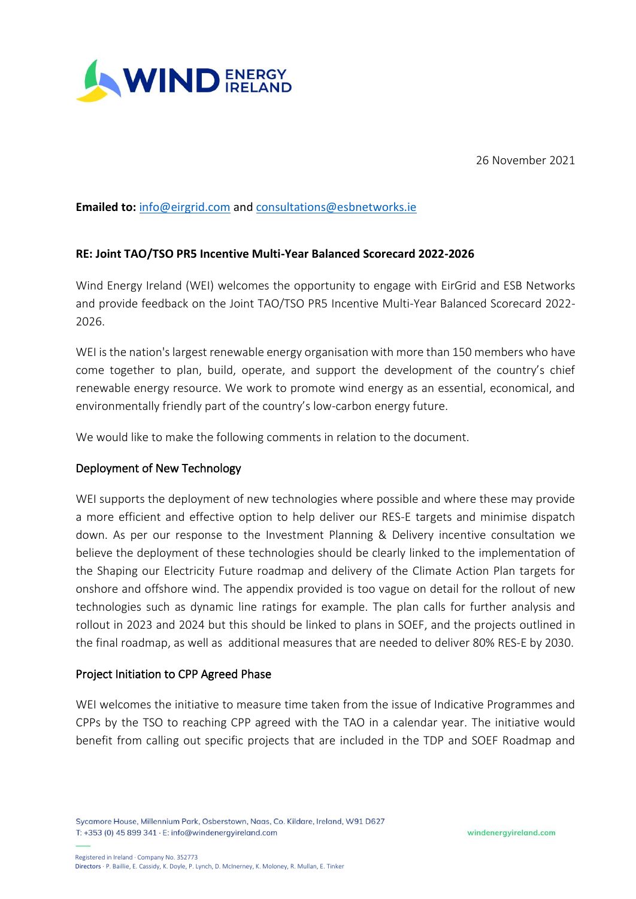

26 November 2021

# **Emailed to:** [info@eirgrid.com](mailto:info@eirgrid.com) and [consultations@esbnetworks.ie](mailto:consultations@esbnetworks.ie)

# **RE: Joint TAO/TSO PR5 Incentive Multi-Year Balanced Scorecard 2022-2026**

Wind Energy Ireland (WEI) welcomes the opportunity to engage with EirGrid and ESB Networks and provide feedback on the Joint TAO/TSO PR5 Incentive Multi-Year Balanced Scorecard 2022- 2026.

WEI is the nation's largest renewable energy organisation with more than 150 members who have come together to plan, build, operate, and support the development of the country's chief renewable energy resource. We work to promote wind energy as an essential, economical, and environmentally friendly part of the country's low-carbon energy future.

We would like to make the following comments in relation to the document.

# Deployment of New Technology

WEI supports the deployment of new technologies where possible and where these may provide a more efficient and effective option to help deliver our RES-E targets and minimise dispatch down. As per our response to the Investment Planning & Delivery incentive consultation we believe the deployment of these technologies should be clearly linked to the implementation of the Shaping our Electricity Future roadmap and delivery of the Climate Action Plan targets for onshore and offshore wind. The appendix provided is too vague on detail for the rollout of new technologies such as dynamic line ratings for example. The plan calls for further analysis and rollout in 2023 and 2024 but this should be linked to plans in SOEF, and the projects outlined in the final roadmap, as well as additional measures that are needed to deliver 80% RES-E by 2030.

### Project Initiation to CPP Agreed Phase

WEI welcomes the initiative to measure time taken from the issue of Indicative Programmes and CPPs by the TSO to reaching CPP agreed with the TAO in a calendar year. The initiative would benefit from calling out specific projects that are included in the TDP and SOEF Roadmap and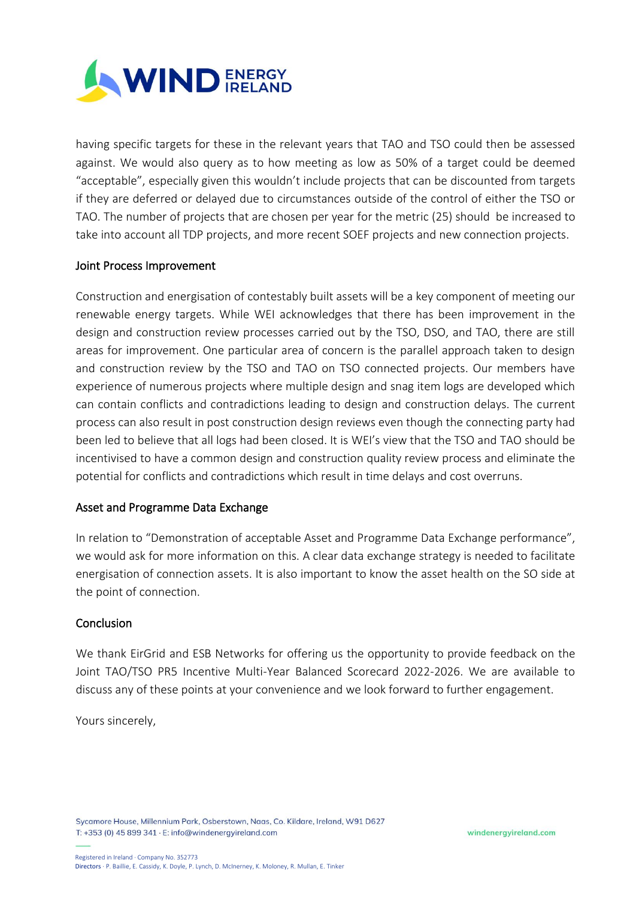

having specific targets for these in the relevant years that TAO and TSO could then be assessed against. We would also query as to how meeting as low as 50% of a target could be deemed "acceptable", especially given this wouldn't include projects that can be discounted from targets if they are deferred or delayed due to circumstances outside of the control of either the TSO or TAO. The number of projects that are chosen per year for the metric (25) should be increased to take into account all TDP projects, and more recent SOEF projects and new connection projects.

### Joint Process Improvement

Construction and energisation of contestably built assets will be a key component of meeting our renewable energy targets. While WEI acknowledges that there has been improvement in the design and construction review processes carried out by the TSO, DSO, and TAO, there are still areas for improvement. One particular area of concern is the parallel approach taken to design and construction review by the TSO and TAO on TSO connected projects. Our members have experience of numerous projects where multiple design and snag item logs are developed which can contain conflicts and contradictions leading to design and construction delays. The current process can also result in post construction design reviews even though the connecting party had been led to believe that all logs had been closed. It is WEI's view that the TSO and TAO should be incentivised to have a common design and construction quality review process and eliminate the potential for conflicts and contradictions which result in time delays and cost overruns.

### Asset and Programme Data Exchange

In relation to "Demonstration of acceptable Asset and Programme Data Exchange performance", we would ask for more information on this. A clear data exchange strategy is needed to facilitate energisation of connection assets. It is also important to know the asset health on the SO side at the point of connection.

### **Conclusion**

We thank EirGrid and ESB Networks for offering us the opportunity to provide feedback on the Joint TAO/TSO PR5 Incentive Multi-Year Balanced Scorecard 2022-2026. We are available to discuss any of these points at your convenience and we look forward to further engagement.

Yours sincerely,

Sycamore House, Millennium Park, Osberstown, Naas, Co. Kildare, Ireland, W91 D627 T: +353 (0) 45 899 341 · E: info@windenergyireland.com